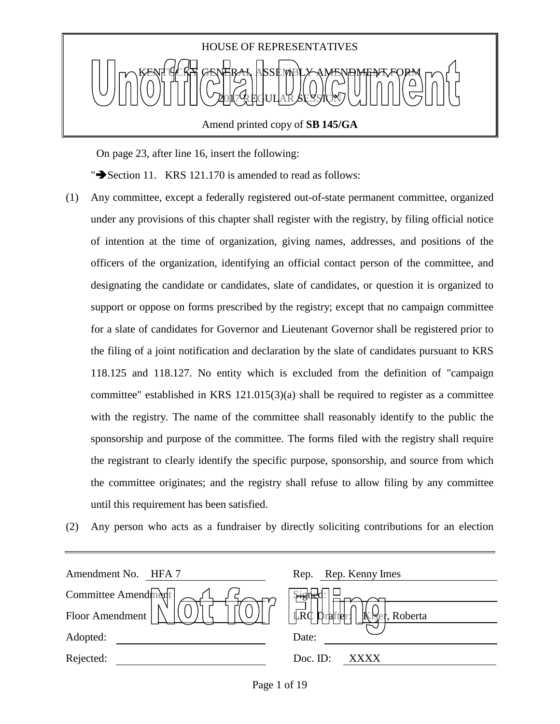

On page 23, after line 16, insert the following:

" $\blacktriangleright$  Section 11. KRS 121.170 is amended to read as follows:

- (1) Any committee, except a federally registered out-of-state permanent committee, organized under any provisions of this chapter shall register with the registry, by filing official notice of intention at the time of organization, giving names, addresses, and positions of the officers of the organization, identifying an official contact person of the committee, and designating the candidate or candidates, slate of candidates, or question it is organized to support or oppose on forms prescribed by the registry; except that no campaign committee for a slate of candidates for Governor and Lieutenant Governor shall be registered prior to the filing of a joint notification and declaration by the slate of candidates pursuant to KRS 118.125 and 118.127. No entity which is excluded from the definition of "campaign committee" established in KRS 121.015(3)(a) shall be required to register as a committee with the registry. The name of the committee shall reasonably identify to the public the sponsorship and purpose of the committee. The forms filed with the registry shall require the registrant to clearly identify the specific purpose, sponsorship, and source from which the committee originates; and the registry shall refuse to allow filing by any committee until this requirement has been satisfied.
- (2) Any person who acts as a fundraiser by directly soliciting contributions for an election

| Amendment No. HFA 7 | Rep. Rep. Kenny Imes                                            |
|---------------------|-----------------------------------------------------------------|
| Committee Amendment | Signe¦                                                          |
| Floor Amendment     | $\overline{\mathbb{R}}$ c I<br>$\mathbf k$<br>rafter<br>Roberta |
| Adopted:            | Date:                                                           |
| Rejected:           | Doc. ID:<br>XXXX                                                |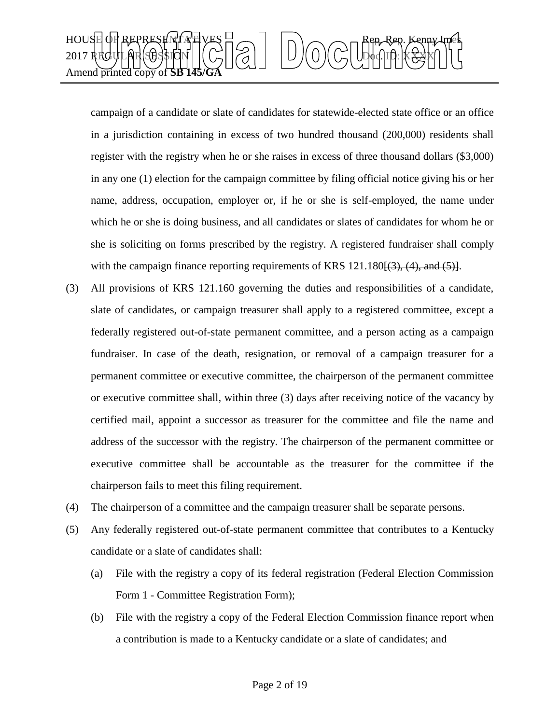

campaign of a candidate or slate of candidates for statewide-elected state office or an office in a jurisdiction containing in excess of two hundred thousand (200,000) residents shall register with the registry when he or she raises in excess of three thousand dollars (\$3,000) in any one (1) election for the campaign committee by filing official notice giving his or her name, address, occupation, employer or, if he or she is self-employed, the name under which he or she is doing business, and all candidates or slates of candidates for whom he or she is soliciting on forms prescribed by the registry. A registered fundraiser shall comply with the campaign finance reporting requirements of KRS  $121.180\{(3), (4), \text{ and } (5)\}.$ 

- (3) All provisions of KRS 121.160 governing the duties and responsibilities of a candidate, slate of candidates, or campaign treasurer shall apply to a registered committee, except a federally registered out-of-state permanent committee, and a person acting as a campaign fundraiser. In case of the death, resignation, or removal of a campaign treasurer for a permanent committee or executive committee, the chairperson of the permanent committee or executive committee shall, within three (3) days after receiving notice of the vacancy by certified mail, appoint a successor as treasurer for the committee and file the name and address of the successor with the registry. The chairperson of the permanent committee or executive committee shall be accountable as the treasurer for the committee if the chairperson fails to meet this filing requirement.
- (4) The chairperson of a committee and the campaign treasurer shall be separate persons.
- (5) Any federally registered out-of-state permanent committee that contributes to a Kentucky candidate or a slate of candidates shall:
	- (a) File with the registry a copy of its federal registration (Federal Election Commission Form 1 - Committee Registration Form);
	- (b) File with the registry a copy of the Federal Election Commission finance report when a contribution is made to a Kentucky candidate or a slate of candidates; and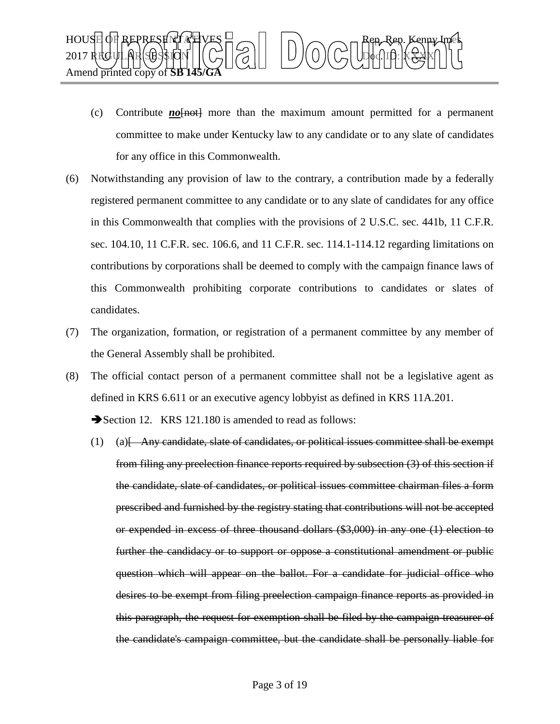

- (c) Contribute  $no$  fine than the maximum amount permitted for a permanent committee to make under Kentucky law to any candidate or to any slate of candidates for any office in this Commonwealth.
- (6) Notwithstanding any provision of law to the contrary, a contribution made by a federally registered permanent committee to any candidate or to any slate of candidates for any office in this Commonwealth that complies with the provisions of 2 U.S.C. sec. 441b, 11 C.F.R. sec. 104.10, 11 C.F.R. sec. 106.6, and 11 C.F.R. sec. 114.1-114.12 regarding limitations on contributions by corporations shall be deemed to comply with the campaign finance laws of this Commonwealth prohibiting corporate contributions to candidates or slates of candidates.
- (7) The organization, formation, or registration of a permanent committee by any member of the General Assembly shall be prohibited.
- (8) The official contact person of a permanent committee shall not be a legislative agent as defined in KRS 6.611 or an executive agency lobbyist as defined in KRS 11A.201.

Section 12. KRS 121.180 is amended to read as follows:

(1) (a)[ Any candidate, slate of candidates, or political issues committee shall be exempt from filing any preelection finance reports required by subsection (3) of this section if the candidate, slate of candidates, or political issues committee chairman files a form prescribed and furnished by the registry stating that contributions will not be accepted or expended in excess of three thousand dollars (\$3,000) in any one (1) election to further the candidacy or to support or oppose a constitutional amendment or public question which will appear on the ballot. For a candidate for judicial office who desires to be exempt from filing preelection campaign finance reports as provided in this paragraph, the request for exemption shall be filed by the campaign treasurer of the candidate's campaign committee, but the candidate shall be personally liable for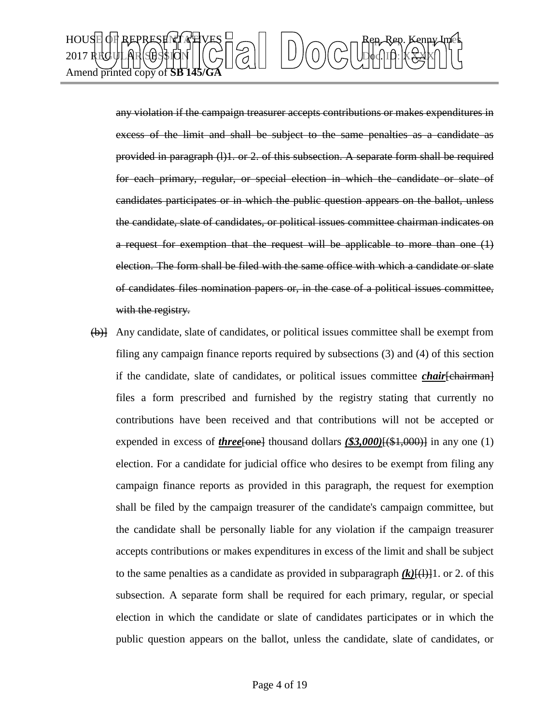

any violation if the campaign treasurer accepts contributions or makes expenditures in excess of the limit and shall be subject to the same penalties as a candidate as provided in paragraph (l)1. or 2. of this subsection. A separate form shall be required for each primary, regular, or special election in which the candidate or slate of candidates participates or in which the public question appears on the ballot, unless the candidate, slate of candidates, or political issues committee chairman indicates on a request for exemption that the request will be applicable to more than one (1) election. The form shall be filed with the same office with which a candidate or slate of candidates files nomination papers or, in the case of a political issues committee, with the registry.

(b)] Any candidate, slate of candidates, or political issues committee shall be exempt from filing any campaign finance reports required by subsections (3) and (4) of this section if the candidate, slate of candidates, or political issues committee *chair*[chairman] files a form prescribed and furnished by the registry stating that currently no contributions have been received and that contributions will not be accepted or expended in excess of *three*[one] thousand dollars  $(\$3,000)$ [(\$1,000)] in any one (1) election. For a candidate for judicial office who desires to be exempt from filing any campaign finance reports as provided in this paragraph, the request for exemption shall be filed by the campaign treasurer of the candidate's campaign committee, but the candidate shall be personally liable for any violation if the campaign treasurer accepts contributions or makes expenditures in excess of the limit and shall be subject to the same penalties as a candidate as provided in subparagraph  $(k)[(1)]$ 1. or 2. of this subsection. A separate form shall be required for each primary, regular, or special election in which the candidate or slate of candidates participates or in which the public question appears on the ballot, unless the candidate, slate of candidates, or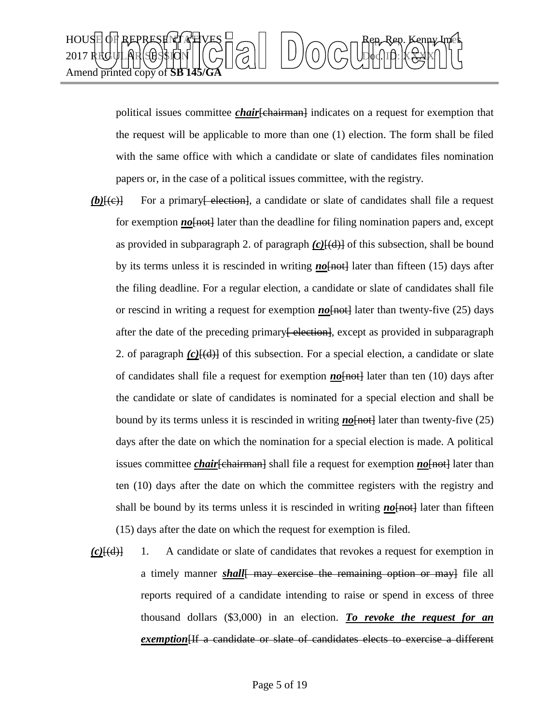

political issues committee *chair*[chairman] indicates on a request for exemption that the request will be applicable to more than one (1) election. The form shall be filed with the same office with which a candidate or slate of candidates files nomination papers or, in the case of a political issues committee, with the registry.

- **(b)**[(e)] For a primary<del>[ election]</del>, a candidate or slate of candidates shall file a request for exemption *no* [<del>not]</del> later than the deadline for filing nomination papers and, except as provided in subparagraph 2. of paragraph  $(c)$   $\{ (d) \}$  of this subsection, shall be bound by its terms unless it is rescinded in writing **no**[not] later than fifteen (15) days after the filing deadline. For a regular election, a candidate or slate of candidates shall file or rescind in writing a request for exemption **no**[not] later than twenty-five (25) days after the date of the preceding primary<del>[ election]</del>, except as provided in subparagraph 2. of paragraph  $(c)$   $(c)$   $(d)$ } of this subsection. For a special election, a candidate or slate of candidates shall file a request for exemption **no**[not] later than ten (10) days after the candidate or slate of candidates is nominated for a special election and shall be bound by its terms unless it is rescinded in writing  $\underline{n\sigma}$  [not] later than twenty-five (25) days after the date on which the nomination for a special election is made. A political issues committee *chair*[chairman] shall file a request for exemption *no*[not] later than ten (10) days after the date on which the committee registers with the registry and shall be bound by its terms unless it is rescinded in writing **no**[not] later than fifteen (15) days after the date on which the request for exemption is filed.
- *(c)*[(d)] 1. A candidate or slate of candidates that revokes a request for exemption in a timely manner *shall* may exercise the remaining option or may file all reports required of a candidate intending to raise or spend in excess of three thousand dollars (\$3,000) in an election. *To revoke the request for an exemption*[If a candidate or slate of candidates elects to exercise a different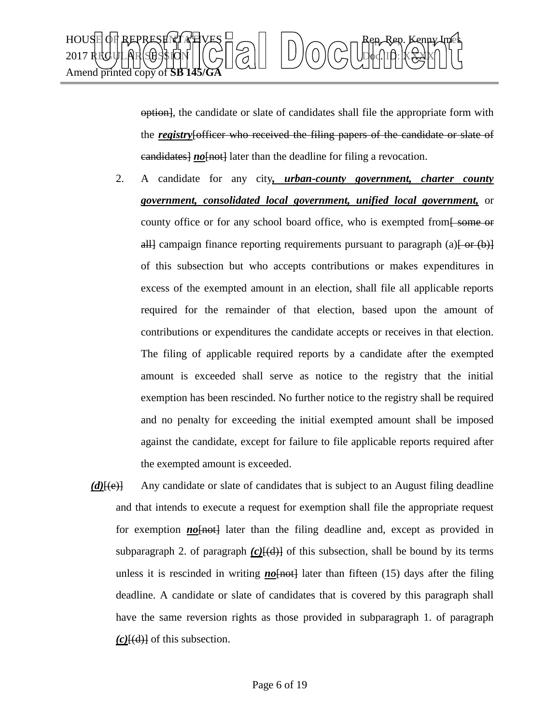

option], the candidate or slate of candidates shall file the appropriate form with the *registry*[officer who received the filing papers of the candidate or slate of eandidates<sup>1</sup> no<sup>[not]</sup> later than the deadline for filing a revocation.

- 2. A candidate for any city*, urban-county government, charter county government, consolidated local government, unified local government,* or county office or for any school board office, who is exempted from some or all campaign finance reporting requirements pursuant to paragraph (a)  $\left\{\text{or } (\text{b})\right\}$ of this subsection but who accepts contributions or makes expenditures in excess of the exempted amount in an election, shall file all applicable reports required for the remainder of that election, based upon the amount of contributions or expenditures the candidate accepts or receives in that election. The filing of applicable required reports by a candidate after the exempted amount is exceeded shall serve as notice to the registry that the initial exemption has been rescinded. No further notice to the registry shall be required and no penalty for exceeding the initial exempted amount shall be imposed against the candidate, except for failure to file applicable reports required after the exempted amount is exceeded.
- *(d)*[(e)] Any candidate or slate of candidates that is subject to an August filing deadline and that intends to execute a request for exemption shall file the appropriate request for exemption **no**[not] later than the filing deadline and, except as provided in subparagraph 2. of paragraph  $(c)$   $\{d\}$  of this subsection, shall be bound by its terms unless it is rescinded in writing  $\underline{n\omega}$  [not] later than fifteen (15) days after the filing deadline. A candidate or slate of candidates that is covered by this paragraph shall have the same reversion rights as those provided in subparagraph 1. of paragraph *(c)*[(d)] of this subsection.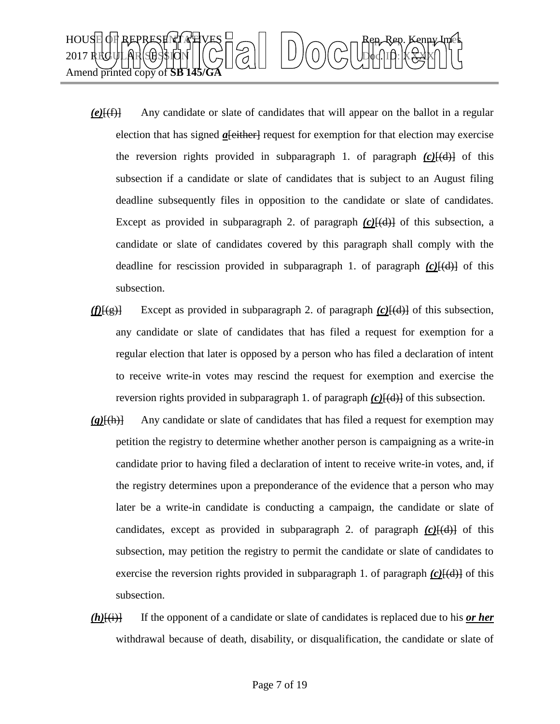

- *(e)*[(f)] Any candidate or slate of candidates that will appear on the ballot in a regular election that has signed *a*[either] request for exemption for that election may exercise the reversion rights provided in subparagraph 1. of paragraph  $(c)$ <del>[(d)]</del> of this subsection if a candidate or slate of candidates that is subject to an August filing deadline subsequently files in opposition to the candidate or slate of candidates. Except as provided in subparagraph 2. of paragraph  $(c)$  $\frac{[d]}{[d]}$  of this subsection, a candidate or slate of candidates covered by this paragraph shall comply with the deadline for rescission provided in subparagraph 1. of paragraph *(c)*[(d)] of this subsection.
- *(f)*[(g)] Except as provided in subparagraph 2. of paragraph *(c)*[(d)] of this subsection, any candidate or slate of candidates that has filed a request for exemption for a regular election that later is opposed by a person who has filed a declaration of intent to receive write-in votes may rescind the request for exemption and exercise the reversion rights provided in subparagraph 1. of paragraph  $(c)$ <del>[(d)]</del> of this subsection.
- *(g)*[(h)] Any candidate or slate of candidates that has filed a request for exemption may petition the registry to determine whether another person is campaigning as a write-in candidate prior to having filed a declaration of intent to receive write-in votes, and, if the registry determines upon a preponderance of the evidence that a person who may later be a write-in candidate is conducting a campaign, the candidate or slate of candidates, except as provided in subparagraph 2. of paragraph  $(c)$  $[(d)]$  of this subsection, may petition the registry to permit the candidate or slate of candidates to exercise the reversion rights provided in subparagraph 1. of paragraph  $(c)$   $\left(\frac{d}{d}\right)$  of this subsection.
- *(h)*[(i)] If the opponent of a candidate or slate of candidates is replaced due to his *or her* withdrawal because of death, disability, or disqualification, the candidate or slate of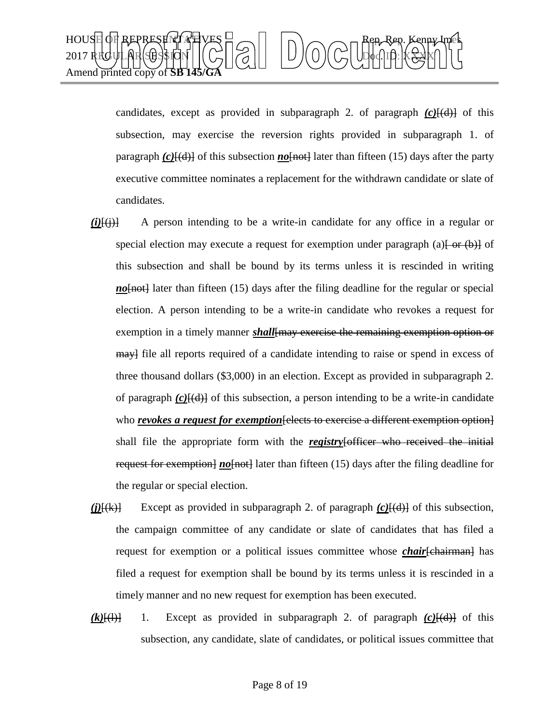

candidates, except as provided in subparagraph 2. of paragraph  $(c)$ <del>[(d)]</del> of this subsection, may exercise the reversion rights provided in subparagraph 1. of paragraph  $(c)$ <del>[(d)]</del> of this subsection *no*[not] later than fifteen (15) days after the party executive committee nominates a replacement for the withdrawn candidate or slate of candidates.

- $(i)$  $(i)$  A person intending to be a write-in candidate for any office in a regular or special election may execute a request for exemption under paragraph (a) $\left\{\theta r(\theta)\right\}$  of this subsection and shall be bound by its terms unless it is rescinded in writing *no*[not] later than fifteen (15) days after the filing deadline for the regular or special election. A person intending to be a write-in candidate who revokes a request for exemption in a timely manner *shall*[may exercise the remaining exemption option or may file all reports required of a candidate intending to raise or spend in excess of three thousand dollars (\$3,000) in an election. Except as provided in subparagraph 2. of paragraph *(c)*[(d)] of this subsection, a person intending to be a write-in candidate who *revokes a request for exemption* [elects to exercise a different exemption option] shall file the appropriate form with the *registry*[officer who received the initial request for exemption] *no*[not] later than fifteen (15) days after the filing deadline for the regular or special election.
- *(j)*[(k)] Except as provided in subparagraph 2. of paragraph *(c)*[(d)] of this subsection, the campaign committee of any candidate or slate of candidates that has filed a request for exemption or a political issues committee whose *chair*[chairman] has filed a request for exemption shall be bound by its terms unless it is rescinded in a timely manner and no new request for exemption has been executed.
- $(k)$ [(l)] 1. Except as provided in subparagraph 2. of paragraph  $(c)$ [(d)] of this subsection, any candidate, slate of candidates, or political issues committee that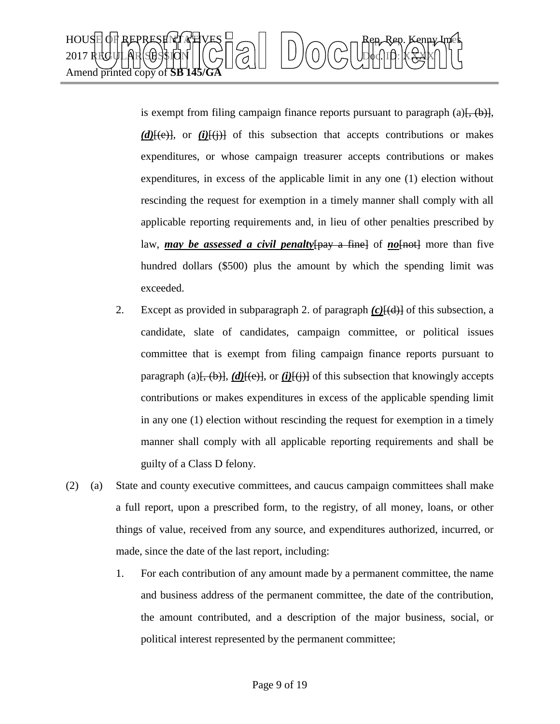

is exempt from filing campaign finance reports pursuant to paragraph (a) $\{+\}$ ,  $(\rightarrow)$ ,  $(d)$ <del>[(e)]</del>, or *(i)*[(i)] of this subsection that accepts contributions or makes expenditures, or whose campaign treasurer accepts contributions or makes expenditures, in excess of the applicable limit in any one (1) election without rescinding the request for exemption in a timely manner shall comply with all applicable reporting requirements and, in lieu of other penalties prescribed by law, *may be assessed a civil penalty* [pay a fine] of *no*[not] more than five hundred dollars (\$500) plus the amount by which the spending limit was exceeded.

- 2. Except as provided in subparagraph 2. of paragraph *(c)*[(d)] of this subsection, a candidate, slate of candidates, campaign committee, or political issues committee that is exempt from filing campaign finance reports pursuant to paragraph (a) $\frac{(-1)^{n-1}}{n-1}$ ,  $\frac{(-1)^{n-1}}{n-1}$  of this subsection that knowingly accepts contributions or makes expenditures in excess of the applicable spending limit in any one (1) election without rescinding the request for exemption in a timely manner shall comply with all applicable reporting requirements and shall be guilty of a Class D felony.
- (2) (a) State and county executive committees, and caucus campaign committees shall make a full report, upon a prescribed form, to the registry, of all money, loans, or other things of value, received from any source, and expenditures authorized, incurred, or made, since the date of the last report, including:
	- 1. For each contribution of any amount made by a permanent committee, the name and business address of the permanent committee, the date of the contribution, the amount contributed, and a description of the major business, social, or political interest represented by the permanent committee;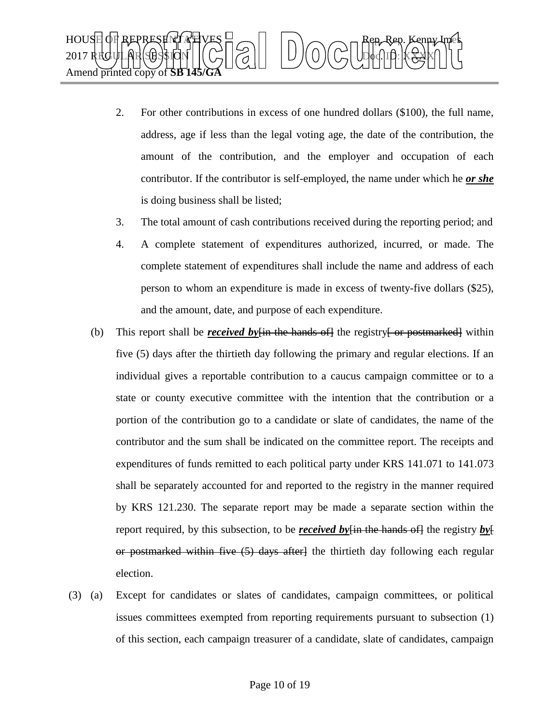

- 2. For other contributions in excess of one hundred dollars (\$100), the full name, address, age if less than the legal voting age, the date of the contribution, the amount of the contribution, and the employer and occupation of each contributor. If the contributor is self-employed, the name under which he *or she* is doing business shall be listed;
- 3. The total amount of cash contributions received during the reporting period; and
- 4. A complete statement of expenditures authorized, incurred, or made. The complete statement of expenditures shall include the name and address of each person to whom an expenditure is made in excess of twenty-five dollars (\$25), and the amount, date, and purpose of each expenditure.
- (b) This report shall be *received by*  $\lim_{n \to \infty}$  the registry for postmarked within five (5) days after the thirtieth day following the primary and regular elections. If an individual gives a reportable contribution to a caucus campaign committee or to a state or county executive committee with the intention that the contribution or a portion of the contribution go to a candidate or slate of candidates, the name of the contributor and the sum shall be indicated on the committee report. The receipts and expenditures of funds remitted to each political party under KRS 141.071 to 141.073 shall be separately accounted for and reported to the registry in the manner required by KRS 121.230. The separate report may be made a separate section within the report required, by this subsection, to be *received by*[in the hands of] the registry *by*[ or postmarked within five (5) days after] the thirtieth day following each regular election.
- (3) (a) Except for candidates or slates of candidates, campaign committees, or political issues committees exempted from reporting requirements pursuant to subsection (1) of this section, each campaign treasurer of a candidate, slate of candidates, campaign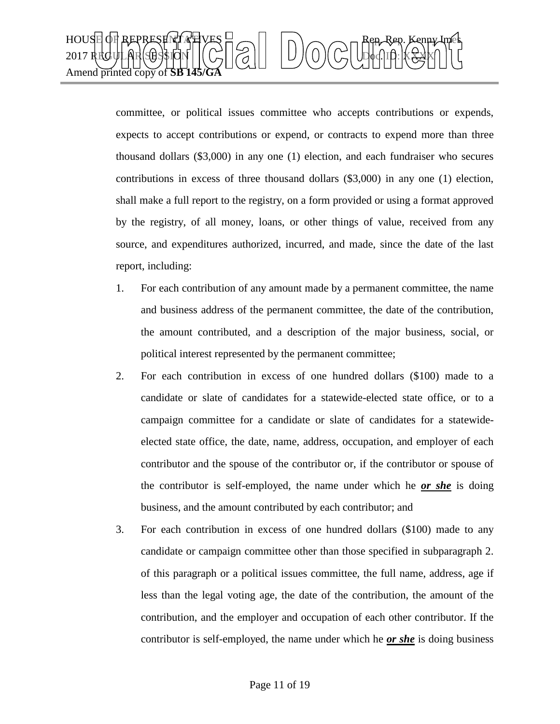

committee, or political issues committee who accepts contributions or expends, expects to accept contributions or expend, or contracts to expend more than three thousand dollars (\$3,000) in any one (1) election, and each fundraiser who secures contributions in excess of three thousand dollars (\$3,000) in any one (1) election, shall make a full report to the registry, on a form provided or using a format approved by the registry, of all money, loans, or other things of value, received from any source, and expenditures authorized, incurred, and made, since the date of the last report, including:

- 1. For each contribution of any amount made by a permanent committee, the name and business address of the permanent committee, the date of the contribution, the amount contributed, and a description of the major business, social, or political interest represented by the permanent committee;
- 2. For each contribution in excess of one hundred dollars (\$100) made to a candidate or slate of candidates for a statewide-elected state office, or to a campaign committee for a candidate or slate of candidates for a statewideelected state office, the date, name, address, occupation, and employer of each contributor and the spouse of the contributor or, if the contributor or spouse of the contributor is self-employed, the name under which he *or she* is doing business, and the amount contributed by each contributor; and
- 3. For each contribution in excess of one hundred dollars (\$100) made to any candidate or campaign committee other than those specified in subparagraph 2. of this paragraph or a political issues committee, the full name, address, age if less than the legal voting age, the date of the contribution, the amount of the contribution, and the employer and occupation of each other contributor. If the contributor is self-employed, the name under which he *or she* is doing business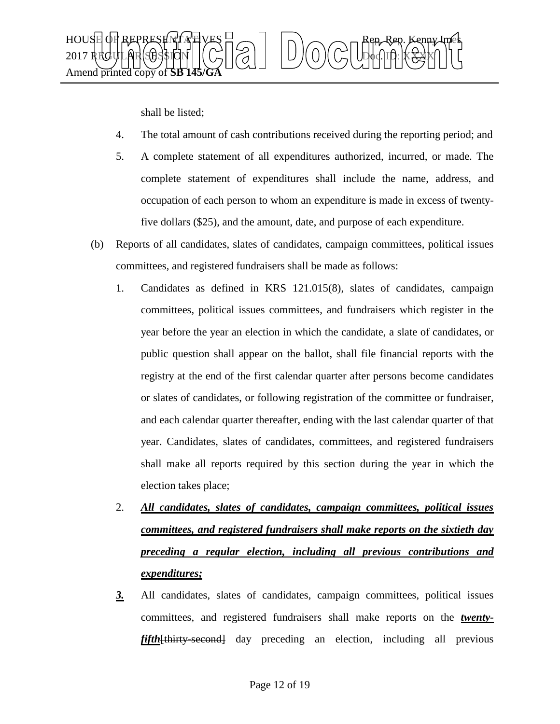

shall be listed;

- 4. The total amount of cash contributions received during the reporting period; and
- 5. A complete statement of all expenditures authorized, incurred, or made. The complete statement of expenditures shall include the name, address, and occupation of each person to whom an expenditure is made in excess of twentyfive dollars (\$25), and the amount, date, and purpose of each expenditure.
- (b) Reports of all candidates, slates of candidates, campaign committees, political issues committees, and registered fundraisers shall be made as follows:
	- 1. Candidates as defined in KRS 121.015(8), slates of candidates, campaign committees, political issues committees, and fundraisers which register in the year before the year an election in which the candidate, a slate of candidates, or public question shall appear on the ballot, shall file financial reports with the registry at the end of the first calendar quarter after persons become candidates or slates of candidates, or following registration of the committee or fundraiser, and each calendar quarter thereafter, ending with the last calendar quarter of that year. Candidates, slates of candidates, committees, and registered fundraisers shall make all reports required by this section during the year in which the election takes place;
	- 2. *All candidates, slates of candidates, campaign committees, political issues committees, and registered fundraisers shall make reports on the sixtieth day preceding a regular election, including all previous contributions and expenditures;*
	- *3.* All candidates, slates of candidates, campaign committees, political issues committees, and registered fundraisers shall make reports on the *twentyfifth*[thirty-second] day preceding an election, including all previous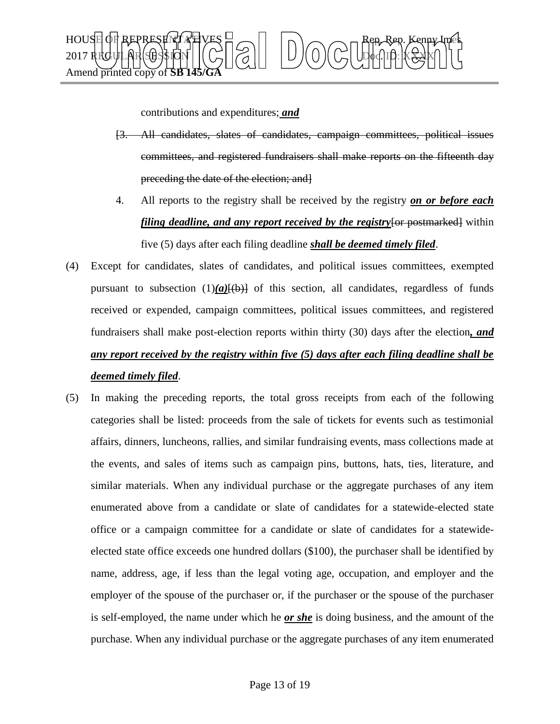

contributions and expenditures; *and*

- [3. All candidates, slates of candidates, campaign committees, political issues committees, and registered fundraisers shall make reports on the fifteenth day preceding the date of the election; and]
- 4. All reports to the registry shall be received by the registry *on or before each filing deadline, and any report received by the registry* for postmarked lwithin five (5) days after each filing deadline *shall be deemed timely filed*.
- (4) Except for candidates, slates of candidates, and political issues committees, exempted pursuant to subsection  $(1)(a)(b)$  of this section, all candidates, regardless of funds received or expended, campaign committees, political issues committees, and registered fundraisers shall make post-election reports within thirty (30) days after the election*, and any report received by the registry within five (5) days after each filing deadline shall be deemed timely filed*.
- (5) In making the preceding reports, the total gross receipts from each of the following categories shall be listed: proceeds from the sale of tickets for events such as testimonial affairs, dinners, luncheons, rallies, and similar fundraising events, mass collections made at the events, and sales of items such as campaign pins, buttons, hats, ties, literature, and similar materials. When any individual purchase or the aggregate purchases of any item enumerated above from a candidate or slate of candidates for a statewide-elected state office or a campaign committee for a candidate or slate of candidates for a statewideelected state office exceeds one hundred dollars (\$100), the purchaser shall be identified by name, address, age, if less than the legal voting age, occupation, and employer and the employer of the spouse of the purchaser or, if the purchaser or the spouse of the purchaser is self-employed, the name under which he *or she* is doing business, and the amount of the purchase. When any individual purchase or the aggregate purchases of any item enumerated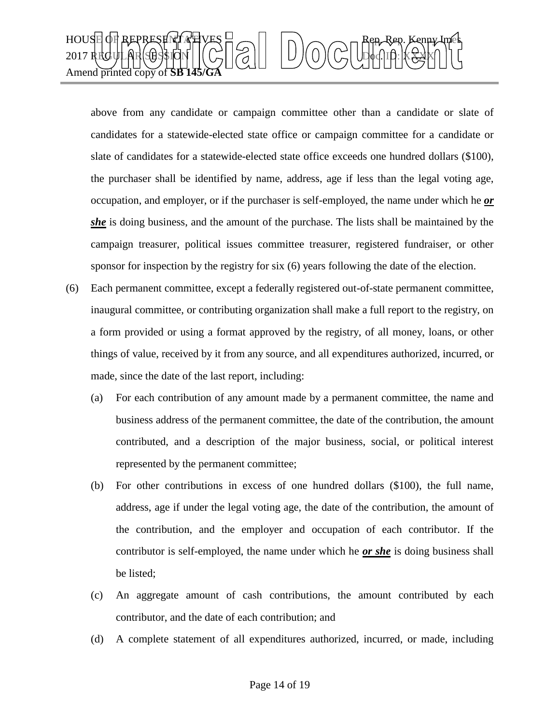

above from any candidate or campaign committee other than a candidate or slate of candidates for a statewide-elected state office or campaign committee for a candidate or slate of candidates for a statewide-elected state office exceeds one hundred dollars (\$100), the purchaser shall be identified by name, address, age if less than the legal voting age, occupation, and employer, or if the purchaser is self-employed, the name under which he *or*  she is doing business, and the amount of the purchase. The lists shall be maintained by the campaign treasurer, political issues committee treasurer, registered fundraiser, or other sponsor for inspection by the registry for six (6) years following the date of the election.

- (6) Each permanent committee, except a federally registered out-of-state permanent committee, inaugural committee, or contributing organization shall make a full report to the registry, on a form provided or using a format approved by the registry, of all money, loans, or other things of value, received by it from any source, and all expenditures authorized, incurred, or made, since the date of the last report, including:
	- (a) For each contribution of any amount made by a permanent committee, the name and business address of the permanent committee, the date of the contribution, the amount contributed, and a description of the major business, social, or political interest represented by the permanent committee;
	- (b) For other contributions in excess of one hundred dollars (\$100), the full name, address, age if under the legal voting age, the date of the contribution, the amount of the contribution, and the employer and occupation of each contributor. If the contributor is self-employed, the name under which he *or she* is doing business shall be listed;
	- (c) An aggregate amount of cash contributions, the amount contributed by each contributor, and the date of each contribution; and
	- (d) A complete statement of all expenditures authorized, incurred, or made, including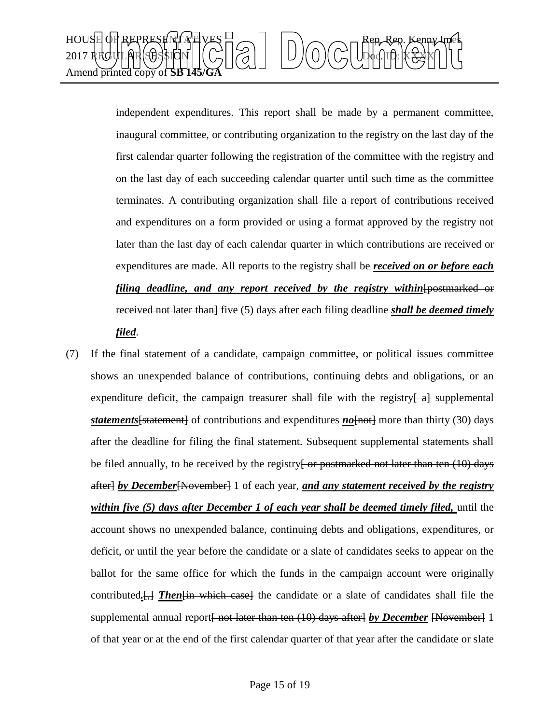

independent expenditures. This report shall be made by a permanent committee, inaugural committee, or contributing organization to the registry on the last day of the first calendar quarter following the registration of the committee with the registry and on the last day of each succeeding calendar quarter until such time as the committee terminates. A contributing organization shall file a report of contributions received and expenditures on a form provided or using a format approved by the registry not later than the last day of each calendar quarter in which contributions are received or expenditures are made. All reports to the registry shall be *received on or before each filing deadline, and any report received by the registry within* [postmarked or received not later than<sup>}</sup> five (5) days after each filing deadline **shall be deemed timely** *filed*.

(7) If the final statement of a candidate, campaign committee, or political issues committee shows an unexpended balance of contributions, continuing debts and obligations, or an expenditure deficit, the campaign treasurer shall file with the registry $\left\{\begin{array}{c}4\end{array}\right\}$  supplemental **statements** [statement] of contributions and expenditures **no** [not] more than thirty (30) days after the deadline for filing the final statement. Subsequent supplemental statements shall be filed annually, to be received by the registry<del>[ or postmarked not later than ten (10) days</del> after] *by December*[November] 1 of each year, *and any statement received by the registry within five (5) days after December 1 of each year shall be deemed timely filed, until the* account shows no unexpended balance, continuing debts and obligations, expenditures, or deficit, or until the year before the candidate or a slate of candidates seeks to appear on the ballot for the same office for which the funds in the campaign account were originally contributed*.*[,] *Then*[in which case] the candidate or a slate of candidates shall file the supplemental annual report<del>[ not later than ten (10) days after]</del> *by December* [November] 1 of that year or at the end of the first calendar quarter of that year after the candidate or slate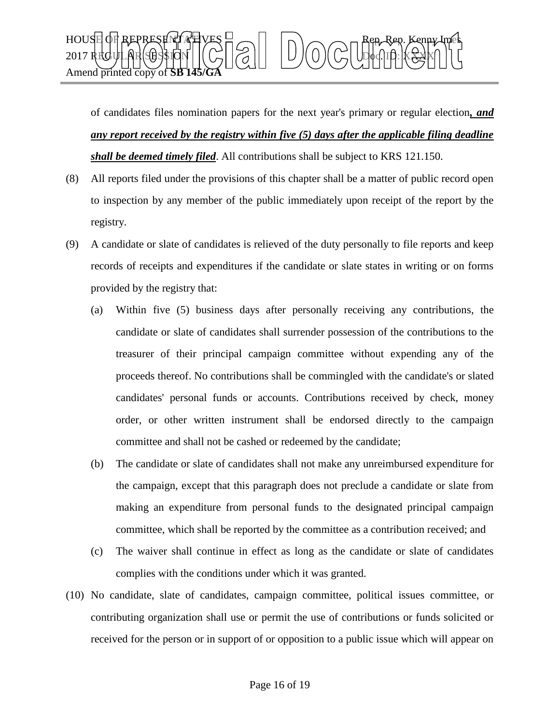

of candidates files nomination papers for the next year's primary or regular election*, and any report received by the registry within five (5) days after the applicable filing deadline shall be deemed timely filed*. All contributions shall be subject to KRS 121.150.

- (8) All reports filed under the provisions of this chapter shall be a matter of public record open to inspection by any member of the public immediately upon receipt of the report by the registry.
- (9) A candidate or slate of candidates is relieved of the duty personally to file reports and keep records of receipts and expenditures if the candidate or slate states in writing or on forms provided by the registry that:
	- (a) Within five (5) business days after personally receiving any contributions, the candidate or slate of candidates shall surrender possession of the contributions to the treasurer of their principal campaign committee without expending any of the proceeds thereof. No contributions shall be commingled with the candidate's or slated candidates' personal funds or accounts. Contributions received by check, money order, or other written instrument shall be endorsed directly to the campaign committee and shall not be cashed or redeemed by the candidate;
	- (b) The candidate or slate of candidates shall not make any unreimbursed expenditure for the campaign, except that this paragraph does not preclude a candidate or slate from making an expenditure from personal funds to the designated principal campaign committee, which shall be reported by the committee as a contribution received; and
	- (c) The waiver shall continue in effect as long as the candidate or slate of candidates complies with the conditions under which it was granted.
- (10) No candidate, slate of candidates, campaign committee, political issues committee, or contributing organization shall use or permit the use of contributions or funds solicited or received for the person or in support of or opposition to a public issue which will appear on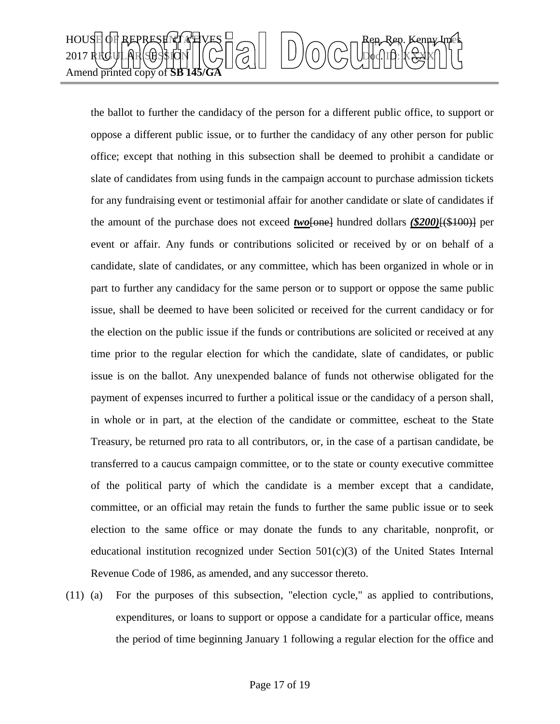

the ballot to further the candidacy of the person for a different public office, to support or oppose a different public issue, or to further the candidacy of any other person for public office; except that nothing in this subsection shall be deemed to prohibit a candidate or slate of candidates from using funds in the campaign account to purchase admission tickets for any fundraising event or testimonial affair for another candidate or slate of candidates if the amount of the purchase does not exceed *two*[one] hundred dollars (\$200)<sup>[(\$100)]</sup> per event or affair. Any funds or contributions solicited or received by or on behalf of a candidate, slate of candidates, or any committee, which has been organized in whole or in part to further any candidacy for the same person or to support or oppose the same public issue, shall be deemed to have been solicited or received for the current candidacy or for the election on the public issue if the funds or contributions are solicited or received at any time prior to the regular election for which the candidate, slate of candidates, or public issue is on the ballot. Any unexpended balance of funds not otherwise obligated for the payment of expenses incurred to further a political issue or the candidacy of a person shall, in whole or in part, at the election of the candidate or committee, escheat to the State Treasury, be returned pro rata to all contributors, or, in the case of a partisan candidate, be transferred to a caucus campaign committee, or to the state or county executive committee of the political party of which the candidate is a member except that a candidate, committee, or an official may retain the funds to further the same public issue or to seek election to the same office or may donate the funds to any charitable, nonprofit, or educational institution recognized under Section  $501(c)(3)$  of the United States Internal Revenue Code of 1986, as amended, and any successor thereto.

(11) (a) For the purposes of this subsection, "election cycle," as applied to contributions, expenditures, or loans to support or oppose a candidate for a particular office, means the period of time beginning January 1 following a regular election for the office and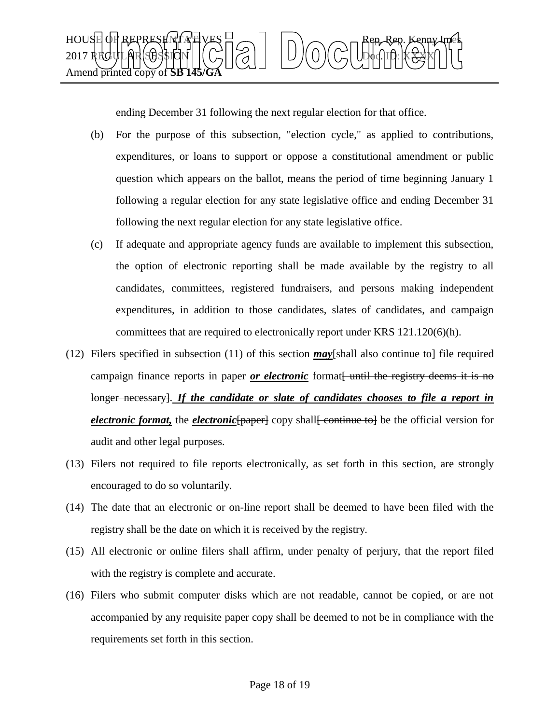

ending December 31 following the next regular election for that office.

- (b) For the purpose of this subsection, "election cycle," as applied to contributions, expenditures, or loans to support or oppose a constitutional amendment or public question which appears on the ballot, means the period of time beginning January 1 following a regular election for any state legislative office and ending December 31 following the next regular election for any state legislative office.
- (c) If adequate and appropriate agency funds are available to implement this subsection, the option of electronic reporting shall be made available by the registry to all candidates, committees, registered fundraisers, and persons making independent expenditures, in addition to those candidates, slates of candidates, and campaign committees that are required to electronically report under KRS 121.120(6)(h).
- (12) Filers specified in subsection (11) of this section *may*[shall also continue to] file required campaign finance reports in paper *or electronic* format until the registry deems it is no longer necessary]. *If the candidate or slate of candidates chooses to file a report in electronic format*, the *electronic* [paper] copy shall continue to be the official version for audit and other legal purposes.
- (13) Filers not required to file reports electronically, as set forth in this section, are strongly encouraged to do so voluntarily.
- (14) The date that an electronic or on-line report shall be deemed to have been filed with the registry shall be the date on which it is received by the registry.
- (15) All electronic or online filers shall affirm, under penalty of perjury, that the report filed with the registry is complete and accurate.
- (16) Filers who submit computer disks which are not readable, cannot be copied, or are not accompanied by any requisite paper copy shall be deemed to not be in compliance with the requirements set forth in this section.